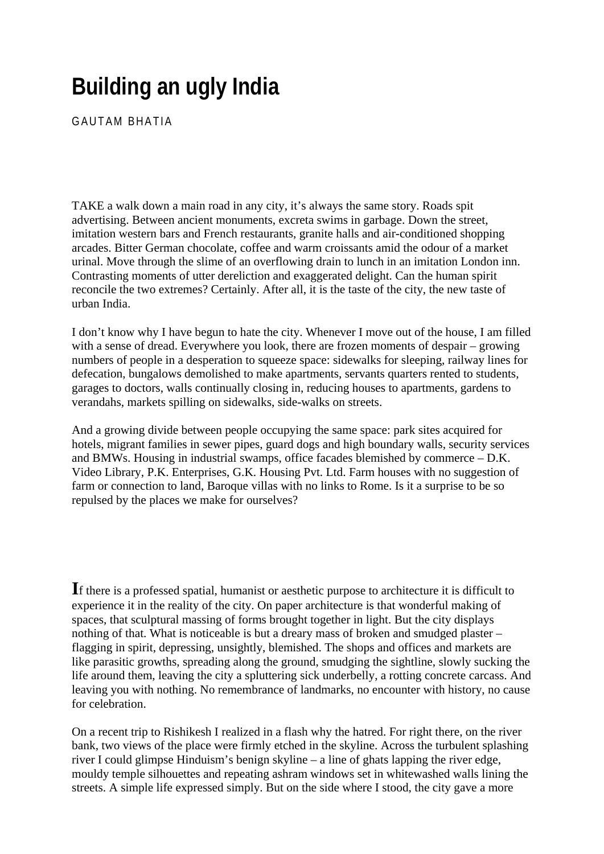## **Building an ugly India**

GAUTAM BHATIA

TAKE a walk down a main road in any city, it's always the same story. Roads spit advertising. Between ancient monuments, excreta swims in garbage. Down the street, imitation western bars and French restaurants, granite halls and air-conditioned shopping arcades. Bitter German chocolate, coffee and warm croissants amid the odour of a market urinal. Move through the slime of an overflowing drain to lunch in an imitation London inn. Contrasting moments of utter dereliction and exaggerated delight. Can the human spirit reconcile the two extremes? Certainly. After all, it is the taste of the city, the new taste of urban India.

I don't know why I have begun to hate the city. Whenever I move out of the house, I am filled with a sense of dread. Everywhere you look, there are frozen moments of despair – growing numbers of people in a desperation to squeeze space: sidewalks for sleeping, railway lines for defecation, bungalows demolished to make apartments, servants quarters rented to students, garages to doctors, walls continually closing in, reducing houses to apartments, gardens to verandahs, markets spilling on sidewalks, side-walks on streets.

And a growing divide between people occupying the same space: park sites acquired for hotels, migrant families in sewer pipes, guard dogs and high boundary walls, security services and BMWs. Housing in industrial swamps, office facades blemished by commerce – D.K. Video Library, P.K. Enterprises, G.K. Housing Pvt. Ltd. Farm houses with no suggestion of farm or connection to land, Baroque villas with no links to Rome. Is it a surprise to be so repulsed by the places we make for ourselves?

**I**f there is a professed spatial, humanist or aesthetic purpose to architecture it is difficult to experience it in the reality of the city. On paper architecture is that wonderful making of spaces, that sculptural massing of forms brought together in light. But the city displays nothing of that. What is noticeable is but a dreary mass of broken and smudged plaster – flagging in spirit, depressing, unsightly, blemished. The shops and offices and markets are like parasitic growths, spreading along the ground, smudging the sightline, slowly sucking the life around them, leaving the city a spluttering sick underbelly, a rotting concrete carcass. And leaving you with nothing. No remembrance of landmarks, no encounter with history, no cause for celebration.

On a recent trip to Rishikesh I realized in a flash why the hatred. For right there, on the river bank, two views of the place were firmly etched in the skyline. Across the turbulent splashing river I could glimpse Hinduism's benign skyline – a line of ghats lapping the river edge, mouldy temple silhouettes and repeating ashram windows set in whitewashed walls lining the streets. A simple life expressed simply. But on the side where I stood, the city gave a more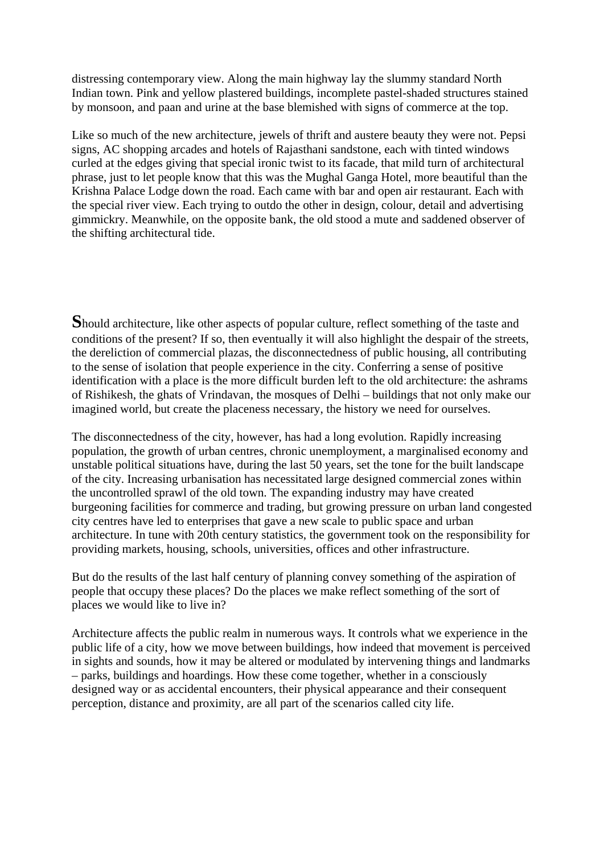distressing contemporary view. Along the main highway lay the slummy standard North Indian town. Pink and yellow plastered buildings, incomplete pastel-shaded structures stained by monsoon, and paan and urine at the base blemished with signs of commerce at the top.

Like so much of the new architecture, jewels of thrift and austere beauty they were not. Pepsi signs, AC shopping arcades and hotels of Rajasthani sandstone, each with tinted windows curled at the edges giving that special ironic twist to its facade, that mild turn of architectural phrase, just to let people know that this was the Mughal Ganga Hotel, more beautiful than the Krishna Palace Lodge down the road. Each came with bar and open air restaurant. Each with the special river view. Each trying to outdo the other in design, colour, detail and advertising gimmickry. Meanwhile, on the opposite bank, the old stood a mute and saddened observer of the shifting architectural tide.

**S**hould architecture, like other aspects of popular culture, reflect something of the taste and conditions of the present? If so, then eventually it will also highlight the despair of the streets, the dereliction of commercial plazas, the disconnectedness of public housing, all contributing to the sense of isolation that people experience in the city. Conferring a sense of positive identification with a place is the more difficult burden left to the old architecture: the ashrams of Rishikesh, the ghats of Vrindavan, the mosques of Delhi – buildings that not only make our imagined world, but create the placeness necessary, the history we need for ourselves.

The disconnectedness of the city, however, has had a long evolution. Rapidly increasing population, the growth of urban centres, chronic unemployment, a marginalised economy and unstable political situations have, during the last 50 years, set the tone for the built landscape of the city. Increasing urbanisation has necessitated large designed commercial zones within the uncontrolled sprawl of the old town. The expanding industry may have created burgeoning facilities for commerce and trading, but growing pressure on urban land congested city centres have led to enterprises that gave a new scale to public space and urban architecture. In tune with 20th century statistics, the government took on the responsibility for providing markets, housing, schools, universities, offices and other infrastructure.

But do the results of the last half century of planning convey something of the aspiration of people that occupy these places? Do the places we make reflect something of the sort of places we would like to live in?

Architecture affects the public realm in numerous ways. It controls what we experience in the public life of a city, how we move between buildings, how indeed that movement is perceived in sights and sounds, how it may be altered or modulated by intervening things and landmarks – parks, buildings and hoardings. How these come together, whether in a consciously designed way or as accidental encounters, their physical appearance and their consequent perception, distance and proximity, are all part of the scenarios called city life.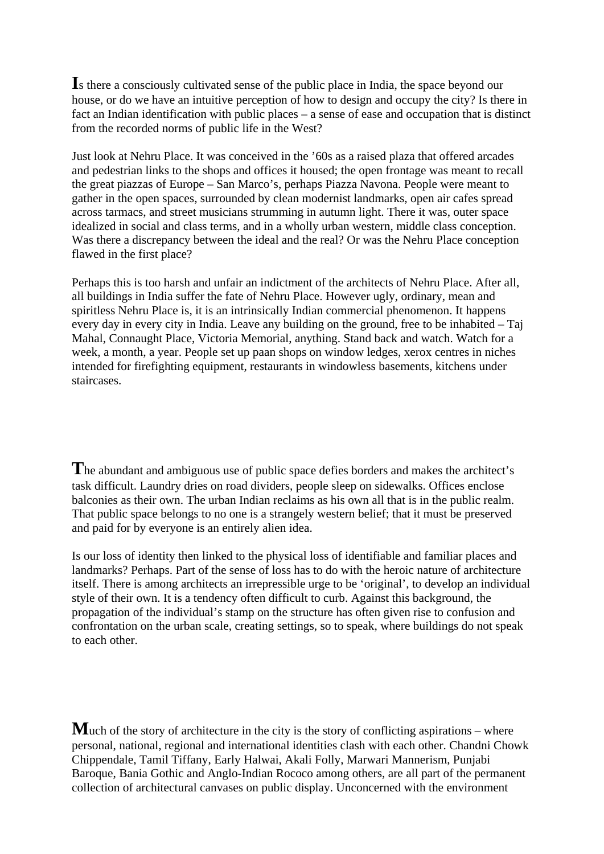**I**s there a consciously cultivated sense of the public place in India, the space beyond our house, or do we have an intuitive perception of how to design and occupy the city? Is there in fact an Indian identification with public places – a sense of ease and occupation that is distinct from the recorded norms of public life in the West?

Just look at Nehru Place. It was conceived in the '60s as a raised plaza that offered arcades and pedestrian links to the shops and offices it housed; the open frontage was meant to recall the great piazzas of Europe – San Marco's, perhaps Piazza Navona. People were meant to gather in the open spaces, surrounded by clean modernist landmarks, open air cafes spread across tarmacs, and street musicians strumming in autumn light. There it was, outer space idealized in social and class terms, and in a wholly urban western, middle class conception. Was there a discrepancy between the ideal and the real? Or was the Nehru Place conception flawed in the first place?

Perhaps this is too harsh and unfair an indictment of the architects of Nehru Place. After all, all buildings in India suffer the fate of Nehru Place. However ugly, ordinary, mean and spiritless Nehru Place is, it is an intrinsically Indian commercial phenomenon. It happens every day in every city in India. Leave any building on the ground, free to be inhabited – Taj Mahal, Connaught Place, Victoria Memorial, anything. Stand back and watch. Watch for a week, a month, a year. People set up paan shops on window ledges, xerox centres in niches intended for firefighting equipment, restaurants in windowless basements, kitchens under staircases.

The abundant and ambiguous use of public space defies borders and makes the architect's task difficult. Laundry dries on road dividers, people sleep on sidewalks. Offices enclose balconies as their own. The urban Indian reclaims as his own all that is in the public realm. That public space belongs to no one is a strangely western belief; that it must be preserved and paid for by everyone is an entirely alien idea.

Is our loss of identity then linked to the physical loss of identifiable and familiar places and landmarks? Perhaps. Part of the sense of loss has to do with the heroic nature of architecture itself. There is among architects an irrepressible urge to be 'original', to develop an individual style of their own. It is a tendency often difficult to curb. Against this background, the propagation of the individual's stamp on the structure has often given rise to confusion and confrontation on the urban scale, creating settings, so to speak, where buildings do not speak to each other.

**M**uch of the story of architecture in the city is the story of conflicting aspirations – where personal, national, regional and international identities clash with each other. Chandni Chowk Chippendale, Tamil Tiffany, Early Halwai, Akali Folly, Marwari Mannerism, Punjabi Baroque, Bania Gothic and Anglo-Indian Rococo among others, are all part of the permanent collection of architectural canvases on public display. Unconcerned with the environment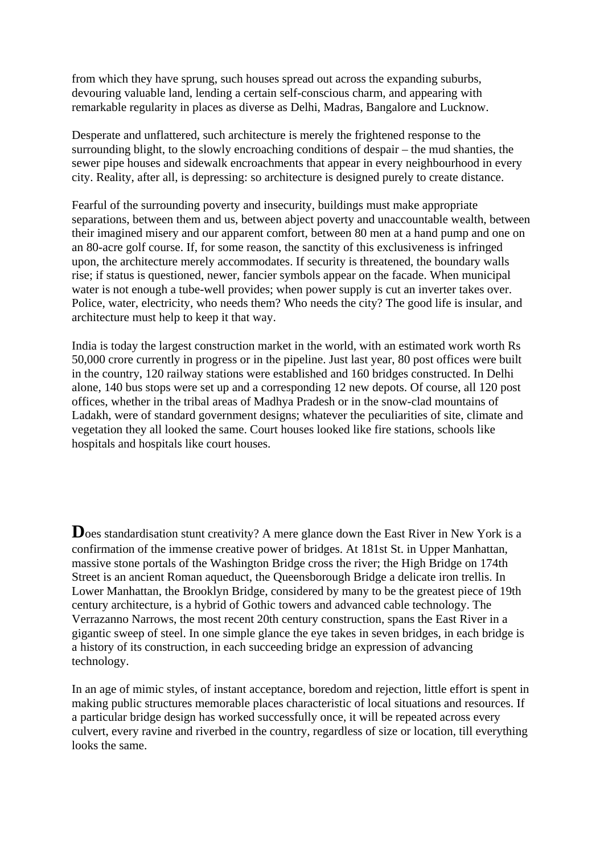from which they have sprung, such houses spread out across the expanding suburbs, devouring valuable land, lending a certain self-conscious charm, and appearing with remarkable regularity in places as diverse as Delhi, Madras, Bangalore and Lucknow.

Desperate and unflattered, such architecture is merely the frightened response to the surrounding blight, to the slowly encroaching conditions of despair – the mud shanties, the sewer pipe houses and sidewalk encroachments that appear in every neighbourhood in every city. Reality, after all, is depressing: so architecture is designed purely to create distance.

Fearful of the surrounding poverty and insecurity, buildings must make appropriate separations, between them and us, between abject poverty and unaccountable wealth, between their imagined misery and our apparent comfort, between 80 men at a hand pump and one on an 80-acre golf course. If, for some reason, the sanctity of this exclusiveness is infringed upon, the architecture merely accommodates. If security is threatened, the boundary walls rise; if status is questioned, newer, fancier symbols appear on the facade. When municipal water is not enough a tube-well provides; when power supply is cut an inverter takes over. Police, water, electricity, who needs them? Who needs the city? The good life is insular, and architecture must help to keep it that way.

India is today the largest construction market in the world, with an estimated work worth Rs 50,000 crore currently in progress or in the pipeline. Just last year, 80 post offices were built in the country, 120 railway stations were established and 160 bridges constructed. In Delhi alone, 140 bus stops were set up and a corresponding 12 new depots. Of course, all 120 post offices, whether in the tribal areas of Madhya Pradesh or in the snow-clad mountains of Ladakh, were of standard government designs; whatever the peculiarities of site, climate and vegetation they all looked the same. Court houses looked like fire stations, schools like hospitals and hospitals like court houses.

Does standardisation stunt creativity? A mere glance down the East River in New York is a confirmation of the immense creative power of bridges. At 181st St. in Upper Manhattan, massive stone portals of the Washington Bridge cross the river; the High Bridge on 174th Street is an ancient Roman aqueduct, the Queensborough Bridge a delicate iron trellis. In Lower Manhattan, the Brooklyn Bridge, considered by many to be the greatest piece of 19th century architecture, is a hybrid of Gothic towers and advanced cable technology. The Verrazanno Narrows, the most recent 20th century construction, spans the East River in a gigantic sweep of steel. In one simple glance the eye takes in seven bridges, in each bridge is a history of its construction, in each succeeding bridge an expression of advancing technology.

In an age of mimic styles, of instant acceptance, boredom and rejection, little effort is spent in making public structures memorable places characteristic of local situations and resources. If a particular bridge design has worked successfully once, it will be repeated across every culvert, every ravine and riverbed in the country, regardless of size or location, till everything looks the same.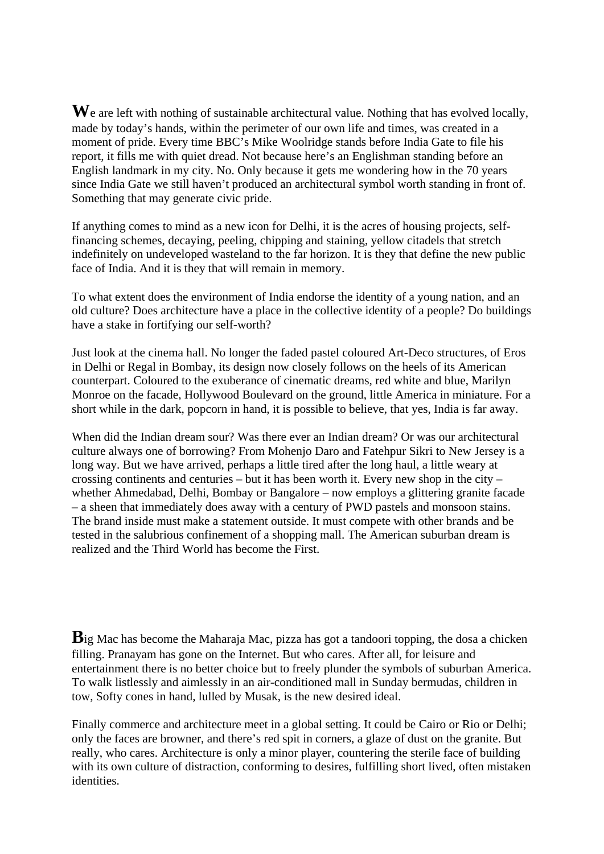We are left with nothing of sustainable architectural value. Nothing that has evolved locally, made by today's hands, within the perimeter of our own life and times, was created in a moment of pride. Every time BBC's Mike Woolridge stands before India Gate to file his report, it fills me with quiet dread. Not because here's an Englishman standing before an English landmark in my city. No. Only because it gets me wondering how in the 70 years since India Gate we still haven't produced an architectural symbol worth standing in front of. Something that may generate civic pride.

If anything comes to mind as a new icon for Delhi, it is the acres of housing projects, selffinancing schemes, decaying, peeling, chipping and staining, yellow citadels that stretch indefinitely on undeveloped wasteland to the far horizon. It is they that define the new public face of India. And it is they that will remain in memory.

To what extent does the environment of India endorse the identity of a young nation, and an old culture? Does architecture have a place in the collective identity of a people? Do buildings have a stake in fortifying our self-worth?

Just look at the cinema hall. No longer the faded pastel coloured Art-Deco structures, of Eros in Delhi or Regal in Bombay, its design now closely follows on the heels of its American counterpart. Coloured to the exuberance of cinematic dreams, red white and blue, Marilyn Monroe on the facade, Hollywood Boulevard on the ground, little America in miniature. For a short while in the dark, popcorn in hand, it is possible to believe, that yes, India is far away.

When did the Indian dream sour? Was there ever an Indian dream? Or was our architectural culture always one of borrowing? From Mohenjo Daro and Fatehpur Sikri to New Jersey is a long way. But we have arrived, perhaps a little tired after the long haul, a little weary at crossing continents and centuries – but it has been worth it. Every new shop in the city – whether Ahmedabad, Delhi, Bombay or Bangalore – now employs a glittering granite facade – a sheen that immediately does away with a century of PWD pastels and monsoon stains. The brand inside must make a statement outside. It must compete with other brands and be tested in the salubrious confinement of a shopping mall. The American suburban dream is realized and the Third World has become the First.

**B**ig Mac has become the Maharaja Mac, pizza has got a tandoori topping, the dosa a chicken filling. Pranayam has gone on the Internet. But who cares. After all, for leisure and entertainment there is no better choice but to freely plunder the symbols of suburban America. To walk listlessly and aimlessly in an air-conditioned mall in Sunday bermudas, children in tow, Softy cones in hand, lulled by Musak, is the new desired ideal.

Finally commerce and architecture meet in a global setting. It could be Cairo or Rio or Delhi; only the faces are browner, and there's red spit in corners, a glaze of dust on the granite. But really, who cares. Architecture is only a minor player, countering the sterile face of building with its own culture of distraction, conforming to desires, fulfilling short lived, often mistaken identities.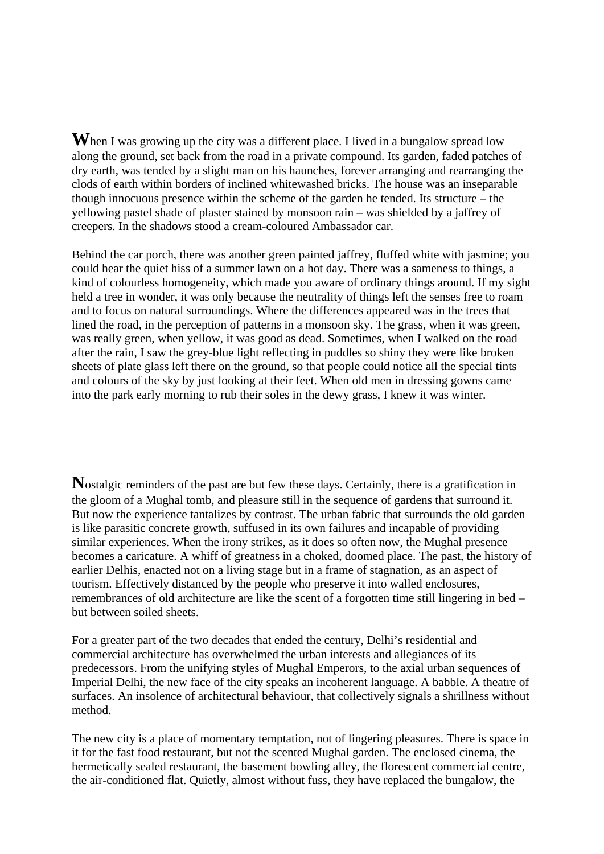**W**hen I was growing up the city was a different place. I lived in a bungalow spread low along the ground, set back from the road in a private compound. Its garden, faded patches of dry earth, was tended by a slight man on his haunches, forever arranging and rearranging the clods of earth within borders of inclined whitewashed bricks. The house was an inseparable though innocuous presence within the scheme of the garden he tended. Its structure – the yellowing pastel shade of plaster stained by monsoon rain – was shielded by a jaffrey of creepers. In the shadows stood a cream-coloured Ambassador car.

Behind the car porch, there was another green painted jaffrey, fluffed white with jasmine; you could hear the quiet hiss of a summer lawn on a hot day. There was a sameness to things, a kind of colourless homogeneity, which made you aware of ordinary things around. If my sight held a tree in wonder, it was only because the neutrality of things left the senses free to roam and to focus on natural surroundings. Where the differences appeared was in the trees that lined the road, in the perception of patterns in a monsoon sky. The grass, when it was green, was really green, when yellow, it was good as dead. Sometimes, when I walked on the road after the rain, I saw the grey-blue light reflecting in puddles so shiny they were like broken sheets of plate glass left there on the ground, so that people could notice all the special tints and colours of the sky by just looking at their feet. When old men in dressing gowns came into the park early morning to rub their soles in the dewy grass, I knew it was winter.

**N**ostalgic reminders of the past are but few these days. Certainly, there is a gratification in the gloom of a Mughal tomb, and pleasure still in the sequence of gardens that surround it. But now the experience tantalizes by contrast. The urban fabric that surrounds the old garden is like parasitic concrete growth, suffused in its own failures and incapable of providing similar experiences. When the irony strikes, as it does so often now, the Mughal presence becomes a caricature. A whiff of greatness in a choked, doomed place. The past, the history of earlier Delhis, enacted not on a living stage but in a frame of stagnation, as an aspect of tourism. Effectively distanced by the people who preserve it into walled enclosures, remembrances of old architecture are like the scent of a forgotten time still lingering in bed – but between soiled sheets.

For a greater part of the two decades that ended the century, Delhi's residential and commercial architecture has overwhelmed the urban interests and allegiances of its predecessors. From the unifying styles of Mughal Emperors, to the axial urban sequences of Imperial Delhi, the new face of the city speaks an incoherent language. A babble. A theatre of surfaces. An insolence of architectural behaviour, that collectively signals a shrillness without method.

The new city is a place of momentary temptation, not of lingering pleasures. There is space in it for the fast food restaurant, but not the scented Mughal garden. The enclosed cinema, the hermetically sealed restaurant, the basement bowling alley, the florescent commercial centre, the air-conditioned flat. Quietly, almost without fuss, they have replaced the bungalow, the